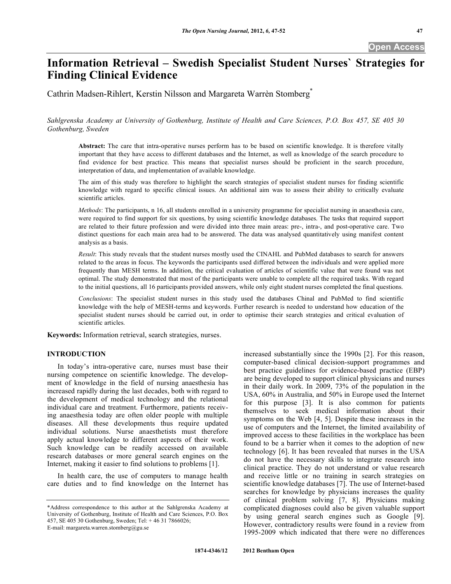# **Information Retrieval – Swedish Specialist Student Nurses` Strategies for Finding Clinical Evidence**

Cathrin Madsen-Rihlert, Kerstin Nilsson and Margareta Warrèn Stomberg\*

*Sahlgrenska Academy at University of Gothenburg, Institute of Health and Care Sciences, P.O. Box 457, SE 405 30 Gothenburg, Sweden* 

**Abstract:** The care that intra-operative nurses perform has to be based on scientific knowledge. It is therefore vitally important that they have access to different databases and the Internet, as well as knowledge of the search procedure to find evidence for best practice. This means that specialist nurses should be proficient in the search procedure, interpretation of data, and implementation of available knowledge.

The aim of this study was therefore to highlight the search strategies of specialist student nurses for finding scientific knowledge with regard to specific clinical issues. An additional aim was to assess their ability to critically evaluate scientific articles.

*Methods*: The participants, n 16, all students enrolled in a university programme for specialist nursing in anaesthesia care, were required to find support for six questions, by using scientific knowledge databases. The tasks that required support are related to their future profession and were divided into three main areas: pre-, intra-, and post-operative care. Two distinct questions for each main area had to be answered. The data was analysed quantitatively using manifest content analysis as a basis.

*Result*: This study reveals that the student nurses mostly used the CINAHL and PubMed databases to search for answers related to the areas in focus. The keywords the participants used differed between the individuals and were applied more frequently than MESH terms. In addition, the critical evaluation of articles of scientific value that were found was not optimal. The study demonstrated that most of the participants were unable to complete all the required tasks. With regard to the initial questions, all 16 participants provided answers, while only eight student nurses completed the final questions.

*Conclusions*: The specialist student nurses in this study used the databases Chinal and PubMed to find scientific knowledge with the help of MESH-terms and keywords. Further research is needed to understand how education of the specialist student nurses should be carried out, in order to optimise their search strategies and critical evaluation of scientific articles.

**Keywords:** Information retrieval, search strategies, nurses.

# **INTRODUCTION**

 In today's intra-operative care, nurses must base their nursing competence on scientific knowledge. The development of knowledge in the field of nursing anaesthesia has increased rapidly during the last decades, both with regard to the development of medical technology and the relational individual care and treatment. Furthermore, patients receiving anaesthesia today are often older people with multiple diseases. All these developments thus require updated individual solutions. Nurse anaesthetists must therefore apply actual knowledge to different aspects of their work. Such knowledge can be readily accessed on available research databases or more general search engines on the Internet, making it easier to find solutions to problems [1].

 In health care, the use of computers to manage health care duties and to find knowledge on the Internet has

E-mail: margareta.warren.stomberg@gu.se

increased substantially since the 1990s [2]. For this reason, computer-based clinical decision-support programmes and best practice guidelines for evidence-based practice (EBP) are being developed to support clinical physicians and nurses in their daily work. In 2009, 73% of the population in the USA, 60% in Australia, and 50% in Europe used the Internet for this purpose [3]. It is also common for patients themselves to seek medical information about their symptoms on the Web [4, 5]. Despite these increases in the use of computers and the Internet, the limited availability of improved access to these facilities in the workplace has been found to be a barrier when it comes to the adoption of new technology [6]. It has been revealed that nurses in the USA do not have the necessary skills to integrate research into clinical practice. They do not understand or value research and receive little or no training in search strategies on scientific knowledge databases [7]. The use of Internet-based searches for knowledge by physicians increases the quality of clinical problem solving [7, 8]. Physicians making complicated diagnoses could also be given valuable support by using general search engines such as Google [9]. However, contradictory results were found in a review from 1995-2009 which indicated that there were no differences

<sup>\*</sup>Address correspondence to this author at the Sahlgrenska Academy at University of Gothenburg, Institute of Health and Care Sciences, P.O. Box 457, SE 405 30 Gothenburg, Sweden; Tel: + 46 31 7866026;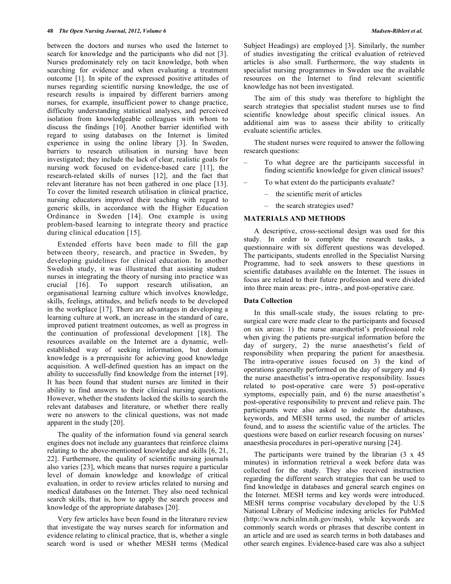between the doctors and nurses who used the Internet to search for knowledge and the participants who did not [3]. Nurses predominately rely on tacit knowledge, both when searching for evidence and when evaluating a treatment outcome [1]. In spite of the expressed positive attitudes of nurses regarding scientific nursing knowledge, the use of research results is impaired by different barriers among nurses, for example, insufficient power to change practice, difficulty understanding statistical analyses, and perceived isolation from knowledgeable colleagues with whom to discuss the findings [10]. Another barrier identified with regard to using databases on the Internet is limited experience in using the online library [3]. In Sweden, barriers to research utilisation in nursing have been investigated; they include the lack of clear, realistic goals for nursing work focused on evidence-based care [11], the research-related skills of nurses [12], and the fact that relevant literature has not been gathered in one place [13]. To cover the limited research utilisation in clinical practice, nursing educators improved their teaching with regard to generic skills, in accordance with the Higher Education Ordinance in Sweden [14]. One example is using problem-based learning to integrate theory and practice during clinical education [15].

 Extended efforts have been made to fill the gap between theory, research, and practice in Sweden, by developing guidelines for clinical education. In another Swedish study, it was illustrated that assisting student nurses in integrating the theory of nursing into practice was crucial [16]. To support research utilisation, an organisational learning culture which involves knowledge, skills, feelings, attitudes, and beliefs needs to be developed in the workplace [17]. There are advantages in developing a learning culture at work, an increase in the standard of care, improved patient treatment outcomes, as well as progress in the continuation of professional development [18]. The resources available on the Internet are a dynamic, wellestablished way of seeking information, but domain knowledge is a prerequisite for achieving good knowledge acquisition. A well-defined question has an impact on the ability to successfully find knowledge from the internet [19]. It has been found that student nurses are limited in their ability to find answers to their clinical nursing questions. However, whether the students lacked the skills to search the relevant databases and literature, or whether there really were no answers to the clinical questions, was not made apparent in the study [20].

 The quality of the information found via general search engines does not include any guarantees that reinforce claims relating to the above-mentioned knowledge and skills [6, 21, 22]. Furthermore, the quality of scientific nursing journals also varies [23], which means that nurses require a particular level of domain knowledge and knowledge of critical evaluation, in order to review articles related to nursing and medical databases on the Internet. They also need technical search skills, that is, how to apply the search process and knowledge of the appropriate databases [20].

 Very few articles have been found in the literature review that investigate the way nurses search for information and evidence relating to clinical practice, that is, whether a single search word is used or whether MESH terms (Medical

Subject Headings) are employed [3]. Similarly, the number of studies investigating the critical evaluation of retrieved articles is also small. Furthermore, the way students in specialist nursing programmes in Sweden use the available resources on the Internet to find relevant scientific knowledge has not been investigated.

 The aim of this study was therefore to highlight the search strategies that specialist student nurses use to find scientific knowledge about specific clinical issues. An additional aim was to assess their ability to critically evaluate scientific articles.

 The student nurses were required to answer the following research questions:

- To what degree are the participants successful in finding scientific knowledge for given clinical issues?
- To what extent do the participants evaluate?
	- the scientific merit of articles
	- the search strategies used?

# **MATERIALS AND METHODS**

 A descriptive, cross-sectional design was used for this study. In order to complete the research tasks, a questionnaire with six different questions was developed. The participants, students enrolled in the Specialist Nursing Programme, had to seek answers to these questions in scientific databases available on the Internet. The issues in focus are related to their future profession and were divided into three main areas: pre-, intra-, and post-operative care.

### **Data Collection**

 In this small-scale study, the issues relating to presurgical care were made clear to the participants and focused on six areas: 1) the nurse anaesthetist's professional role when giving the patients pre-surgical information before the day of surgery, 2) the nurse anaesthetist's field of responsibility when preparing the patient for anaesthesia. The intra-operative issues focused on 3) the kind of operations generally performed on the day of surgery and 4) the nurse anaesthetist's intra-operative responsibility. Issues related to post-operative care were 5) post-operative symptoms, especially pain, and 6) the nurse anaesthetist's post-operative responsibility to prevent and relieve pain. The participants were also asked to indicate the databases, keywords, and MESH terms used, the number of articles found, and to assess the scientific value of the articles. The questions were based on earlier research focusing on nurses' anaesthesia procedures in peri-operative nursing [24].

The participants were trained by the librarian  $(3 \times 45)$ minutes) in information retrieval a week before data was collected for the study. They also received instruction regarding the different search strategies that can be used to find knowledge in databases and general search engines on the Internet. MESH terms and key words were introduced. MESH terms comprise vocabulary developed by the U.S National Library of Medicine indexing articles for PubMed (http://www.ncbi.nlm.nih.gov/mesh), while keywords are commonly search words or phrases that describe content in an article and are used as search terms in both databases and other search engines. Evidence-based care was also a subject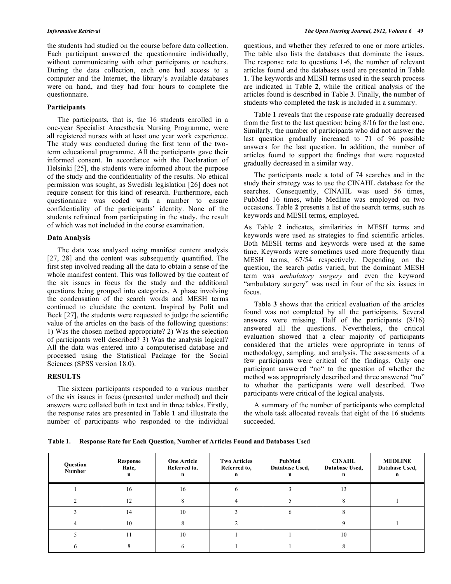the students had studied on the course before data collection. Each participant answered the questionnaire individually, without communicating with other participants or teachers. During the data collection, each one had access to a computer and the Internet, the library's available databases were on hand, and they had four hours to complete the questionnaire.

### **Participants**

 The participants, that is, the 16 students enrolled in a one-year Specialist Anaesthesia Nursing Programme, were all registered nurses with at least one year work experience. The study was conducted during the first term of the twoterm educational programme. All the participants gave their informed consent. In accordance with the Declaration of Helsinki [25], the students were informed about the purpose of the study and the confidentiality of the results. No ethical permission was sought, as Swedish legislation [26] does not require consent for this kind of research. Furthermore, each questionnaire was coded with a number to ensure confidentiality of the participants' identity. None of the students refrained from participating in the study, the result of which was not included in the course examination.

### **Data Analysis**

 The data was analysed using manifest content analysis [27, 28] and the content was subsequently quantified. The first step involved reading all the data to obtain a sense of the whole manifest content. This was followed by the content of the six issues in focus for the study and the additional questions being grouped into categories. A phase involving the condensation of the search words and MESH terms continued to elucidate the content. Inspired by Polit and Beck [27], the students were requested to judge the scientific value of the articles on the basis of the following questions: 1) Was the chosen method appropriate? 2) Was the selection of participants well described? 3) Was the analysis logical? All the data was entered into a computerised database and processed using the Statistical Package for the Social Sciences (SPSS version 18.0).

# **RESULTS**

 The sixteen participants responded to a various number of the six issues in focus (presented under method) and their answers were collated both in text and in three tables. Firstly, the response rates are presented in Table **1** and illustrate the number of participants who responded to the individual

questions, and whether they referred to one or more articles. The table also lists the databases that dominate the issues. The response rate to questions 1-6, the number of relevant articles found and the databases used are presented in Table **1**. The keywords and MESH terms used in the search process are indicated in Table **2**, while the critical analysis of the articles found is described in Table **3**. Finally, the number of students who completed the task is included in a summary.

 Table **1** reveals that the response rate gradually decreased from the first to the last question; being 8/16 for the last one. Similarly, the number of participants who did not answer the last question gradually increased to 71 of 96 possible answers for the last question. In addition, the number of articles found to support the findings that were requested gradually decreased in a similar way.

 The participants made a total of 74 searches and in the study their strategy was to use the CINAHL database for the searches. Consequently, CINAHL was used 56 times, PubMed 16 times, while Medline was employed on two occasions. Table **2** presents a list of the search terms, such as keywords and MESH terms, employed.

As Table **2** indicates, similarities in MESH terms and keywords were used as strategies to find scientific articles. Both MESH terms and keywords were used at the same time. Keywords were sometimes used more frequently than MESH terms, 67/54 respectively. Depending on the question, the search paths varied, but the dominant MESH term was *ambulatory surgery* and even the keyword "ambulatory surgery" was used in four of the six issues in focus.

 Table **3** shows that the critical evaluation of the articles found was not completed by all the participants. Several answers were missing. Half of the participants (8/16) answered all the questions. Nevertheless, the critical evaluation showed that a clear majority of participants considered that the articles were appropriate in terms of methodology, sampling, and analysis. The assessments of a few participants were critical of the findings. Only one participant answered "no" to the question of whether the method was appropriately described and three answered "no" to whether the participants were well described. Two participants were critical of the logical analysis.

 A summary of the number of participants who completed the whole task allocated reveals that eight of the 16 students succeeded.

**Table 1. Response Rate for Each Question, Number of Articles Found and Databases Used** 

| Question<br>Number | Response<br>Rate,<br>n | <b>One Article</b><br>Referred to,<br>n | <b>Two Articles</b><br>Referred to,<br>n | PubMed<br>Database Used, | <b>CINAHL</b><br>Database Used, | <b>MEDLINE</b><br>Database Used, |
|--------------------|------------------------|-----------------------------------------|------------------------------------------|--------------------------|---------------------------------|----------------------------------|
|                    | 16                     | 16                                      |                                          |                          |                                 |                                  |
|                    | 12                     |                                         |                                          |                          |                                 |                                  |
|                    | 14                     | 10                                      |                                          |                          |                                 |                                  |
|                    | 10                     |                                         |                                          |                          |                                 |                                  |
|                    | 11                     | 10                                      |                                          |                          | 10                              |                                  |
|                    |                        |                                         |                                          |                          |                                 |                                  |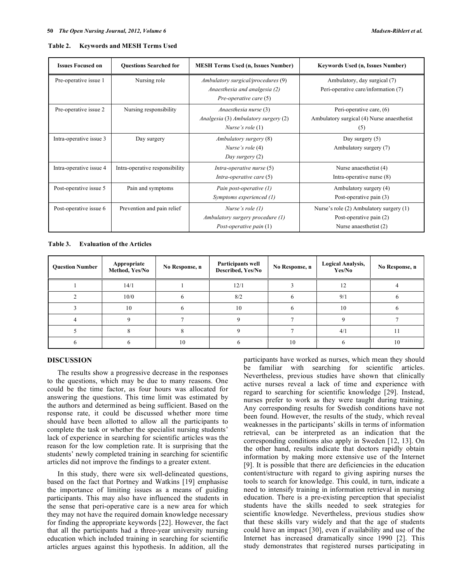| Table 2. | <b>Keywords and MESH Terms Used</b> |  |
|----------|-------------------------------------|--|
|          |                                     |  |

| <b>Issues Focused on</b> | <b>Ouestions Searched for</b>  | <b>MESH Terms Used (n, Issues Number)</b>                                                     | Keywords Used (n, Issues Number)                                                             |  |
|--------------------------|--------------------------------|-----------------------------------------------------------------------------------------------|----------------------------------------------------------------------------------------------|--|
| Pre-operative issue 1    | Nursing role                   | Ambulatory surgical/procedures (9)<br>Anaesthesia and analgesia (2)<br>Pre-operative care (5) | Ambulatory, day surgical (7)<br>Peri-operative care/information (7)                          |  |
| Pre-operative issue 2    | Nursing responsibility         | Anaesthesia nurse (3)<br>Analgesia (3) Ambulatory surgery (2)<br><i>Nurse's role</i> $(1)$    | Peri-operative care, (6)<br>Ambulatory surgical (4) Nurse anaesthetist<br>(5)                |  |
| Intra-operative issue 3  | Day surgery                    | Ambulatory surgery (8)<br>Nurse's role (4)<br>Day surgery (2)                                 | Day surgery $(5)$<br>Ambulatory surgery (7)                                                  |  |
| Intra-operative issue 4  | Intra-operative responsibility | Intra-operative nurse (5)<br>Intra-operative care (5)                                         | Nurse anaesthetist (4)<br>Intra-operative nurse (8)                                          |  |
| Post-operative issue 5   | Pain and symptoms              | Pain post-operative (1)<br>Symptoms experienced (1)                                           | Ambulatory surgery (4)<br>Post-operative pain (3)                                            |  |
| Post-operative issue 6   | Prevention and pain relief     | Nurse's role $(1)$<br>Ambulatory surgery procedure (1)<br>Post-operative pain $(1)$           | Nurse's role (2) Ambulatory surgery (1)<br>Post-operative pain (2)<br>Nurse anaesthetist (2) |  |

**Table 3. Evaluation of the Articles** 

| <b>Question Number</b> | Appropriate<br>Method, Yes/No | No Response, n | Participants well<br>Described, Yes/No | No Response, n | <b>Logical Analysis,</b><br>Yes/No | No Response, n |
|------------------------|-------------------------------|----------------|----------------------------------------|----------------|------------------------------------|----------------|
|                        | 14/1                          |                | 12/1                                   |                |                                    |                |
|                        | 10/0                          |                | 8/2                                    |                | 9/1                                |                |
|                        | 10                            |                | 10                                     |                | 10                                 |                |
|                        |                               |                |                                        |                |                                    |                |
|                        |                               |                |                                        |                | 4/1                                |                |
|                        |                               | 10             |                                        | 10             |                                    | 10             |

### **DISCUSSION**

 The results show a progressive decrease in the responses to the questions, which may be due to many reasons. One could be the time factor, as four hours was allocated for answering the questions. This time limit was estimated by the authors and determined as being sufficient. Based on the response rate, it could be discussed whether more time should have been allotted to allow all the participants to complete the task or whether the specialist nursing students' lack of experience in searching for scientific articles was the reason for the low completion rate. It is surprising that the students' newly completed training in searching for scientific articles did not improve the findings to a greater extent.

 In this study, there were six well-delineated questions, based on the fact that Portney and Watkins [19] emphasise the importance of limiting issues as a means of guiding participants. This may also have influenced the students in the sense that peri-operative care is a new area for which they may not have the required domain knowledge necessary for finding the appropriate keywords [22]. However, the fact that all the participants had a three-year university nursing education which included training in searching for scientific articles argues against this hypothesis. In addition, all the

participants have worked as nurses, which mean they should be familiar with searching for scientific articles. Nevertheless, previous studies have shown that clinically active nurses reveal a lack of time and experience with regard to searching for scientific knowledge [29]. Instead, nurses prefer to work as they were taught during training. Any corresponding results for Swedish conditions have not been found. However, the results of the study, which reveal weaknesses in the participants' skills in terms of information retrieval, can be interpreted as an indication that the corresponding conditions also apply in Sweden [12, 13]. On the other hand, results indicate that doctors rapidly obtain information by making more extensive use of the Internet [9]. It is possible that there are deficiencies in the education content/structure with regard to giving aspiring nurses the tools to search for knowledge. This could, in turn, indicate a need to intensify training in information retrieval in nursing education. There is a pre-existing perception that specialist students have the skills needed to seek strategies for scientific knowledge. Nevertheless, previous studies show that these skills vary widely and that the age of students could have an impact [30], even if availability and use of the Internet has increased dramatically since 1990 [2]. This study demonstrates that registered nurses participating in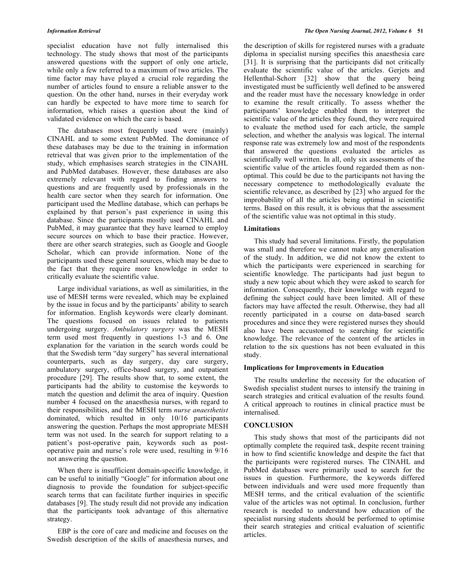specialist education have not fully internalised this technology. The study shows that most of the participants answered questions with the support of only one article, while only a few referred to a maximum of two articles. The time factor may have played a crucial role regarding the number of articles found to ensure a reliable answer to the question. On the other hand, nurses in their everyday work can hardly be expected to have more time to search for information, which raises a question about the kind of validated evidence on which the care is based.

 The databases most frequently used were (mainly) CINAHL and to some extent PubMed. The dominance of these databases may be due to the training in information retrieval that was given prior to the implementation of the study, which emphasises search strategies in the CINAHL and PubMed databases. However, these databases are also extremely relevant with regard to finding answers to questions and are frequently used by professionals in the health care sector when they search for information. One participant used the Medline database, which can perhaps be explained by that person's past experience in using this database. Since the participants mostly used CINAHL and PubMed, it may guarantee that they have learned to employ secure sources on which to base their practice. However, there are other search strategies, such as Google and Google Scholar, which can provide information. None of the participants used these general sources, which may be due to the fact that they require more knowledge in order to critically evaluate the scientific value.

 Large individual variations, as well as similarities, in the use of MESH terms were revealed, which may be explained by the issue in focus and by the participants' ability to search for information. English keywords were clearly dominant. The questions focused on issues related to patients undergoing surgery. *Ambulatory surgery* was the MESH term used most frequently in questions 1-3 and 6. One explanation for the variation in the search words could be that the Swedish term "day surgery" has several international counterparts, such as day surgery, day care surgery, ambulatory surgery, office-based surgery, and outpatient procedure [29]. The results show that, to some extent, the participants had the ability to customise the keywords to match the question and delimit the area of inquiry. Question number 4 focused on the anaesthesia nurses, with regard to their responsibilities, and the MESH term *nurse anaesthetist* dominated, which resulted in only 10/16 participants answering the question. Perhaps the most appropriate MESH term was not used. In the search for support relating to a patient's post-operative pain, keywords such as postoperative pain and nurse's role were used, resulting in 9/16 not answering the question.

 When there is insufficient domain-specific knowledge, it can be useful to initially "Google" for information about one diagnosis to provide the foundation for subject-specific search terms that can facilitate further inquiries in specific databases [9]. The study result did not provide any indication that the participants took advantage of this alternative strategy.

 EBP is the core of care and medicine and focuses on the Swedish description of the skills of anaesthesia nurses, and

the description of skills for registered nurses with a graduate diploma in specialist nursing specifies this anaesthesia care [31]. It is surprising that the participants did not critically evaluate the scientific value of the articles. Gerjets and Hellenthal-Schorr [32] show that the query being investigated must be sufficiently well defined to be answered and the reader must have the necessary knowledge in order to examine the result critically. To assess whether the participants' knowledge enabled them to interpret the scientific value of the articles they found, they were required to evaluate the method used for each article, the sample selection, and whether the analysis was logical. The internal response rate was extremely low and most of the respondents that answered the questions evaluated the articles as scientifically well written. In all, only six assessments of the scientific value of the articles found regarded them as nonoptimal. This could be due to the participants not having the necessary competence to methodologically evaluate the scientific relevance, as described by [23] who argued for the improbability of all the articles being optimal in scientific terms. Based on this result, it is obvious that the assessment of the scientific value was not optimal in this study.

### **Limitations**

 This study had several limitations. Firstly, the population was small and therefore we cannot make any generalisation of the study. In addition, we did not know the extent to which the participants were experienced in searching for scientific knowledge. The participants had just begun to study a new topic about which they were asked to search for information. Consequently, their knowledge with regard to defining the subject could have been limited. All of these factors may have affected the result. Otherwise, they had all recently participated in a course on data-based search procedures and since they were registered nurses they should also have been accustomed to searching for scientific knowledge. The relevance of the content of the articles in relation to the six questions has not been evaluated in this study.

### **Implications for Improvements in Education**

 The results underline the necessity for the education of Swedish specialist student nurses to intensify the training in search strategies and critical evaluation of the results found. A critical approach to routines in clinical practice must be internalised.

# **CONCLUSION**

 This study shows that most of the participants did not optimally complete the required task, despite recent training in how to find scientific knowledge and despite the fact that the participants were registered nurses. The CINAHL and PubMed databases were primarily used to search for the issues in question. Furthermore, the keywords differed between individuals and were used more frequently than MESH terms, and the critical evaluation of the scientific value of the articles was not optimal. In conclusion, further research is needed to understand how education of the specialist nursing students should be performed to optimise their search strategies and critical evaluation of scientific articles.